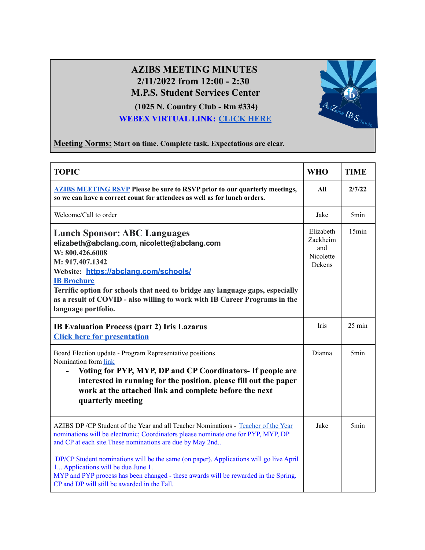## **AZIBS MEETING MINUTES 2/11/2022 from 12:00 - 2:30 M.P.S. Student Services Center**

**(1025 N. Country Club - Rm #334) WEBEX VIRTUAL LINK: [CLICK HERE](https://mpsaz.webex.com/mpsaz/j.php?MTID=m8efd1e1fb732a9c45041adae79fd1bee)**



**Meeting Norms: Start on time. Complete task. Expectations are clear.**

| <b>TOPIC</b>                                                                                                                                                                                                                                                                                                                                                                                                                                                                                                 | <b>WHO</b>                                          | <b>TIME</b>      |
|--------------------------------------------------------------------------------------------------------------------------------------------------------------------------------------------------------------------------------------------------------------------------------------------------------------------------------------------------------------------------------------------------------------------------------------------------------------------------------------------------------------|-----------------------------------------------------|------------------|
| <b>AZIBS MEETING RSVP Please be sure to RSVP prior to our quarterly meetings,</b><br>so we can have a correct count for attendees as well as for lunch orders.                                                                                                                                                                                                                                                                                                                                               | All                                                 | 2/7/22           |
| Welcome/Call to order                                                                                                                                                                                                                                                                                                                                                                                                                                                                                        | Jake                                                | 5 <sub>min</sub> |
| <b>Lunch Sponsor: ABC Languages</b><br>elizabeth@abclang.com, nicolette@abclang.com<br>W: 800.426.6008<br>M: 917.407.1342<br>Website: https://abclang.com/schools/<br><b>IB Brochure</b><br>Terrific option for schools that need to bridge any language gaps, especially<br>as a result of COVID - also willing to work with IB Career Programs in the<br>language portfolio.                                                                                                                               | Elizabeth<br>Zackheim<br>and<br>Nicolette<br>Dekens | 15min            |
| <b>IB Evaluation Process (part 2) Iris Lazarus</b><br><b>Click here for presentation</b>                                                                                                                                                                                                                                                                                                                                                                                                                     | Iris                                                | 25 min           |
| Board Election update - Program Representative positions<br>Nomination form link<br>Voting for PYP, MYP, DP and CP Coordinators- If people are<br>interested in running for the position, please fill out the paper<br>work at the attached link and complete before the next<br>quarterly meeting                                                                                                                                                                                                           | Dianna                                              | 5min             |
| AZIBS DP / CP Student of the Year and all Teacher Nominations - Teacher of the Year<br>nominations will be electronic; Coordinators please nominate one for PYP, MYP, DP<br>and CP at each site. These nominations are due by May 2nd<br>DP/CP Student nominations will be the same (on paper). Applications will go live April<br>1 Applications will be due June 1.<br>MYP and PYP process has been changed - these awards will be rewarded in the Spring.<br>CP and DP will still be awarded in the Fall. | Jake                                                | 5 <sub>min</sub> |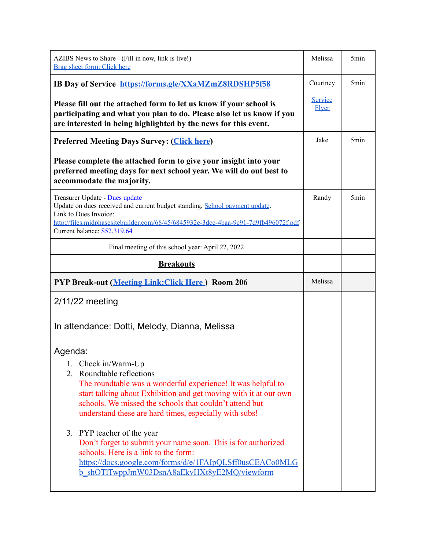| AZIBS News to Share - (Fill in now, link is live!)<br>Brag sheet form: Click here                                                                                                                                                                                                                         | Melissa                 | 5 <sub>min</sub> |
|-----------------------------------------------------------------------------------------------------------------------------------------------------------------------------------------------------------------------------------------------------------------------------------------------------------|-------------------------|------------------|
| IB Day of Service https://forms.gle/XXaMZmZ8RDSHP5f58                                                                                                                                                                                                                                                     | Courtney                | 5 <sub>min</sub> |
| Please fill out the attached form to let us know if your school is<br>participating and what you plan to do. Please also let us know if you<br>are interested in being highlighted by the news for this event.                                                                                            | Service<br><b>Elyer</b> |                  |
| <b>Preferred Meeting Days Survey: (Click here)</b>                                                                                                                                                                                                                                                        | Jake                    | 5 <sub>min</sub> |
| Please complete the attached form to give your insight into your<br>preferred meeting days for next school year. We will do out best to<br>accommodate the majority.                                                                                                                                      |                         |                  |
| Treasurer Update - Dues update<br>Update on dues received and current budget standing, School payment update.<br>Link to Dues Invoice:<br>http://files.midphasesitebuilder.com/68/45/6845932e-3dcc-4baa-9c91-7d9fb496072f.pdf<br>Current balance: \$52,319.64                                             | Randy                   | 5 <sub>min</sub> |
| Final meeting of this school year: April 22, 2022                                                                                                                                                                                                                                                         |                         |                  |
| <b>Breakouts</b>                                                                                                                                                                                                                                                                                          |                         |                  |
| <b>PYP Break-out (Meeting Link: Click Here.) Room 206</b>                                                                                                                                                                                                                                                 | Melissa                 |                  |
| $2/11/22$ meeting                                                                                                                                                                                                                                                                                         |                         |                  |
| In attendance: Dotti, Melody, Dianna, Melissa                                                                                                                                                                                                                                                             |                         |                  |
| Agenda:                                                                                                                                                                                                                                                                                                   |                         |                  |
| 1. Check in/Warm-Up<br>2. Roundtable reflections<br>The roundtable was a wonderful experience! It was helpful to<br>start talking about Exhibition and get moving with it at our own<br>schools. We missed the schools that couldn't attend but<br>understand these are hard times, especially with subs! |                         |                  |
| 3. PYP teacher of the year<br>Don't forget to submit your name soon. This is for authorized<br>schools. Here is a link to the form:<br>https://docs.google.com/forms/d/e/1FAIpQLSff0usCEACo0MLG<br>b shOTlTwppJmW03DsnA8aEkvHXt8yE2MO/viewform                                                            |                         |                  |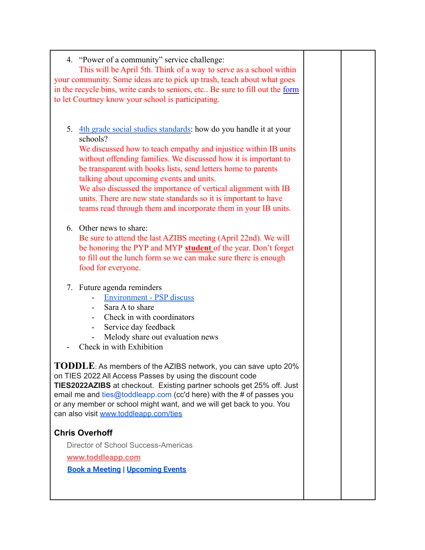| 4. "Power of a community" service challenge:<br>This will be April 5th. Think of a way to serve as a school within<br>your community. Some ideas are to pick up trash, teach about what goes<br>in the recycle bins, write cards to seniors, etc Be sure to fill out the form<br>to let Courtney know your school is participating.                                                                                                                                                                                                          |  |
|----------------------------------------------------------------------------------------------------------------------------------------------------------------------------------------------------------------------------------------------------------------------------------------------------------------------------------------------------------------------------------------------------------------------------------------------------------------------------------------------------------------------------------------------|--|
| 5.<br>4th grade social studies standards: how do you handle it at your<br>schools?<br>We discussed how to teach empathy and injustice within IB units<br>without offending families. We discussed how it is important to<br>be transparent with books lists, send letters home to parents<br>talking about upcoming events and units.<br>We also discussed the importance of vertical alignment with IB<br>units. There are new state standards so it is important to have<br>teams read through them and incorporate them in your IB units. |  |
| 6. Other news to share:<br>Be sure to attend the last AZIBS meeting (April 22nd). We will<br>be honoring the PYP and MYP student of the year. Don't forget<br>to fill out the lunch form so we can make sure there is enough<br>food for everyone.                                                                                                                                                                                                                                                                                           |  |
| Future agenda reminders<br>7.<br><b>Environment - PSP discuss</b><br>Sara A to share<br>Check in with coordinators<br>Service day feedback<br>Melody share out evaluation news<br>Check in with Exhibition                                                                                                                                                                                                                                                                                                                                   |  |
| TODDLE: As members of the AZIBS network, you can save upto 20%<br>on TIES 2022 All Access Passes by using the discount code<br>TIES2022AZIBS at checkout. Existing partner schools get 25% off. Just<br>email me and ties@toddleapp.com (cc'd here) with the # of passes you<br>or any member or school might want, and we will get back to you. You<br>can also visit www.toddleapp.com/ties                                                                                                                                                |  |
| <b>Chris Overhoff</b>                                                                                                                                                                                                                                                                                                                                                                                                                                                                                                                        |  |
| Director of School Success-Americas                                                                                                                                                                                                                                                                                                                                                                                                                                                                                                          |  |
| www.toddleapp.com                                                                                                                                                                                                                                                                                                                                                                                                                                                                                                                            |  |
| <b>Book a Meeting   Upcoming Events</b>                                                                                                                                                                                                                                                                                                                                                                                                                                                                                                      |  |
|                                                                                                                                                                                                                                                                                                                                                                                                                                                                                                                                              |  |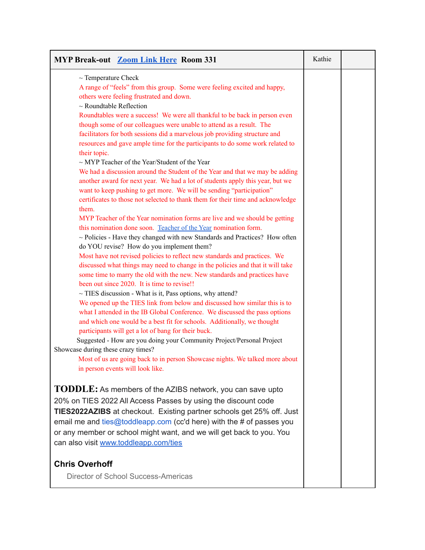| <b>MYP Break-out Zoom Link Here Room 331</b>                                                                                                                                                                                                                                                                                                                                                                                                                                                                                                                                                                                                                                                                                                                                                                                                                                                                                                                                                                                                                                                                                                                                                                                                                                                                                                                                                                                                                                                                                                                                                                                                                                                                                                                                                                                                                                                                                                                                                                                                                                                                                                                         | Kathie |  |
|----------------------------------------------------------------------------------------------------------------------------------------------------------------------------------------------------------------------------------------------------------------------------------------------------------------------------------------------------------------------------------------------------------------------------------------------------------------------------------------------------------------------------------------------------------------------------------------------------------------------------------------------------------------------------------------------------------------------------------------------------------------------------------------------------------------------------------------------------------------------------------------------------------------------------------------------------------------------------------------------------------------------------------------------------------------------------------------------------------------------------------------------------------------------------------------------------------------------------------------------------------------------------------------------------------------------------------------------------------------------------------------------------------------------------------------------------------------------------------------------------------------------------------------------------------------------------------------------------------------------------------------------------------------------------------------------------------------------------------------------------------------------------------------------------------------------------------------------------------------------------------------------------------------------------------------------------------------------------------------------------------------------------------------------------------------------------------------------------------------------------------------------------------------------|--------|--|
| $\sim$ Temperature Check<br>A range of "feels" from this group. Some were feeling excited and happy,<br>others were feeling frustrated and down.<br>$\sim$ Roundtable Reflection<br>Roundtables were a success! We were all thankful to be back in person even<br>though some of our colleagues were unable to attend as a result. The<br>facilitators for both sessions did a marvelous job providing structure and<br>resources and gave ample time for the participants to do some work related to<br>their topic.<br>$\sim$ MYP Teacher of the Year/Student of the Year<br>We had a discussion around the Student of the Year and that we may be adding<br>another award for next year. We had a lot of students apply this year, but we<br>want to keep pushing to get more. We will be sending "participation"<br>certificates to those not selected to thank them for their time and acknowledge<br>them.<br>MYP Teacher of the Year nomination forms are live and we should be getting<br>this nomination done soon. Teacher of the Year nomination form.<br>$\sim$ Policies - Have they changed with new Standards and Practices? How often<br>do YOU revise? How do you implement them?<br>Most have not revised policies to reflect new standards and practices. We<br>discussed what things may need to change in the policies and that it will take<br>some time to marry the old with the new. New standards and practices have<br>been out since 2020. It is time to revise!!<br>$\sim$ TIES discussion - What is it, Pass options, why attend?<br>We opened up the TIES link from below and discussed how similar this is to<br>what I attended in the IB Global Conference. We discussed the pass options<br>and which one would be a best fit for schools. Additionally, we thought<br>participants will get a lot of bang for their buck.<br>Suggested - How are you doing your Community Project/Personal Project<br>Showcase during these crazy times?<br>Most of us are going back to in person Showcase nights. We talked more about<br>in person events will look like.<br><b>TODDLE:</b> As members of the AZIBS network, you can save upto |        |  |
| 20% on TIES 2022 All Access Passes by using the discount code<br><b>TIES2022AZIBS</b> at checkout. Existing partner schools get 25% off. Just<br>email me and $ties@toddeapp.com$ (cc'd here) with the # of passes you<br>or any member or school might want, and we will get back to you. You<br>can also visit www.toddleapp.com/ties                                                                                                                                                                                                                                                                                                                                                                                                                                                                                                                                                                                                                                                                                                                                                                                                                                                                                                                                                                                                                                                                                                                                                                                                                                                                                                                                                                                                                                                                                                                                                                                                                                                                                                                                                                                                                              |        |  |
| <b>Chris Overhoff</b><br>Director of School Success-Americas                                                                                                                                                                                                                                                                                                                                                                                                                                                                                                                                                                                                                                                                                                                                                                                                                                                                                                                                                                                                                                                                                                                                                                                                                                                                                                                                                                                                                                                                                                                                                                                                                                                                                                                                                                                                                                                                                                                                                                                                                                                                                                         |        |  |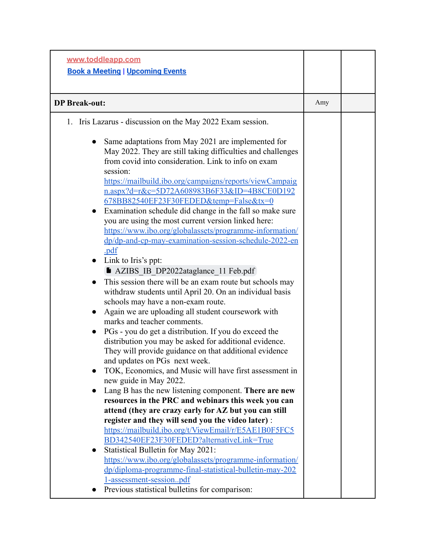| www.toddleapp.com<br><b>Book a Meeting   Upcoming Events</b>                                                                                                                                                                                                                                                                                                                                                                                                                                                                                                                                                                                                                                                                                                                                                                                                                                                                                                                                                                                                                                                                                                                                                                                                                                                                                                                                                                                                                                                                                                                                                                                                                                                                                                                                                                                                                                                            |     |  |
|-------------------------------------------------------------------------------------------------------------------------------------------------------------------------------------------------------------------------------------------------------------------------------------------------------------------------------------------------------------------------------------------------------------------------------------------------------------------------------------------------------------------------------------------------------------------------------------------------------------------------------------------------------------------------------------------------------------------------------------------------------------------------------------------------------------------------------------------------------------------------------------------------------------------------------------------------------------------------------------------------------------------------------------------------------------------------------------------------------------------------------------------------------------------------------------------------------------------------------------------------------------------------------------------------------------------------------------------------------------------------------------------------------------------------------------------------------------------------------------------------------------------------------------------------------------------------------------------------------------------------------------------------------------------------------------------------------------------------------------------------------------------------------------------------------------------------------------------------------------------------------------------------------------------------|-----|--|
| <b>DP</b> Break-out:                                                                                                                                                                                                                                                                                                                                                                                                                                                                                                                                                                                                                                                                                                                                                                                                                                                                                                                                                                                                                                                                                                                                                                                                                                                                                                                                                                                                                                                                                                                                                                                                                                                                                                                                                                                                                                                                                                    | Amy |  |
| 1. Iris Lazarus - discussion on the May 2022 Exam session.<br>Same adaptations from May 2021 are implemented for<br>May 2022. They are still taking difficulties and challenges<br>from covid into consideration. Link to info on exam<br>session:<br>https://mailbuild.ibo.org/campaigns/reports/viewCampaig<br>n.aspx?d=r&c=5D72A608983B6F33&ID=4B8CE0D192<br>678BB82540EF23F30FEDED&temp=False&tx=0<br>Examination schedule did change in the fall so make sure<br>$\bullet$<br>you are using the most current version linked here:<br>https://www.ibo.org/globalassets/programme-information/<br>dp/dp-and-cp-may-examination-session-schedule-2022-en<br>.pdf<br>Link to Iris's ppt:<br>$\bullet$<br>AZIBS IB DP2022ataglance 11 Feb.pdf<br>This session there will be an exam route but schools may<br>$\bullet$<br>withdraw students until April 20. On an individual basis<br>schools may have a non-exam route.<br>Again we are uploading all student coursework with<br>marks and teacher comments.<br>PGs - you do get a distribution. If you do exceed the<br>$\bullet$<br>distribution you may be asked for additional evidence.<br>They will provide guidance on that additional evidence<br>and updates on PGs next week.<br>TOK, Economics, and Music will have first assessment in<br>new guide in May 2022.<br>Lang B has the new listening component. There are new<br>resources in the PRC and webinars this week you can<br>attend (they are crazy early for AZ but you can still<br>register and they will send you the video later) :<br>https://mailbuild.ibo.org/t/ViewEmail/r/E5AE1B0F5FC5<br>BD342540EF23F30FEDED?alternativeLink=True<br>Statistical Bulletin for May 2021:<br>$\bullet$<br>https://www.ibo.org/globalassets/programme-information/<br>dp/diploma-programme-final-statistical-bulletin-may-202<br>1-assessment-sessionpdf<br>Previous statistical bulletins for comparison: |     |  |